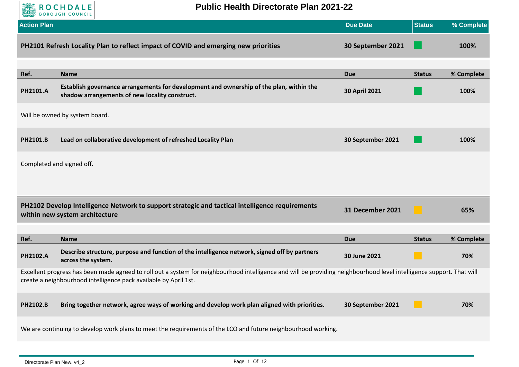

**Public Health Directorate Plan 2021-22**

| <b>Action Plan</b> |                                                                                                                                                                                                                                           | <b>Due Date</b>         | <b>Status</b> | % Complete |
|--------------------|-------------------------------------------------------------------------------------------------------------------------------------------------------------------------------------------------------------------------------------------|-------------------------|---------------|------------|
|                    | PH2101 Refresh Locality Plan to reflect impact of COVID and emerging new priorities                                                                                                                                                       | 30 September 2021       |               | 100%       |
| Ref.               | <b>Name</b>                                                                                                                                                                                                                               | <b>Due</b>              | <b>Status</b> | % Complete |
| PH2101.A           | Establish governance arrangements for development and ownership of the plan, within the<br>shadow arrangements of new locality construct.                                                                                                 | 30 April 2021           |               | 100%       |
|                    | Will be owned by system board.                                                                                                                                                                                                            |                         |               |            |
| PH2101.B           | Lead on collaborative development of refreshed Locality Plan                                                                                                                                                                              | 30 September 2021       |               | 100%       |
|                    | Completed and signed off.                                                                                                                                                                                                                 |                         |               |            |
|                    |                                                                                                                                                                                                                                           |                         |               |            |
|                    | PH2102 Develop Intelligence Network to support strategic and tactical intelligence requirements<br>within new system architecture                                                                                                         | <b>31 December 2021</b> |               | 65%        |
| Ref.               | <b>Name</b>                                                                                                                                                                                                                               | <b>Due</b>              | <b>Status</b> | % Complete |
| PH2102.A           | Describe structure, purpose and function of the intelligence network, signed off by partners<br>across the system.                                                                                                                        | 30 June 2021            |               | 70%        |
|                    | Excellent progress has been made agreed to roll out a system for neighbourhood intelligence and will be providing neighbourhood level intelligence support. That will<br>create a neighbourhood intelligence pack available by April 1st. |                         |               |            |
| PH2102.B           | Bring together network, agree ways of working and develop work plan aligned with priorities.                                                                                                                                              | 30 September 2021       |               | 70%        |
|                    | We are continuing to develop work plans to meet the requirements of the LCO and future neighbourhood working.                                                                                                                             |                         |               |            |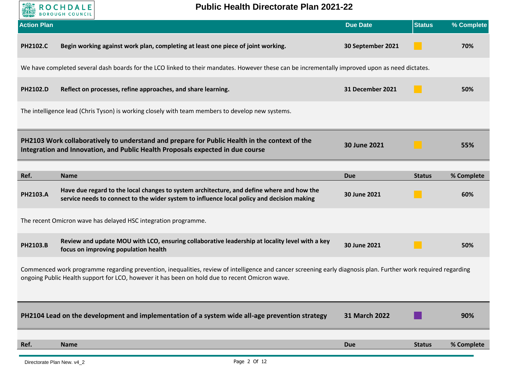

**Public Health Directorate Plan 2021-22**

| <b>Action Plan</b> |                                                                                                                                                                                                                                                                  | <b>Due Date</b>   | <b>Status</b> | % Complete |
|--------------------|------------------------------------------------------------------------------------------------------------------------------------------------------------------------------------------------------------------------------------------------------------------|-------------------|---------------|------------|
| <b>PH2102.C</b>    | Begin working against work plan, completing at least one piece of joint working.                                                                                                                                                                                 | 30 September 2021 |               | 70%        |
|                    | We have completed several dash boards for the LCO linked to their mandates. However these can be incrementally improved upon as need dictates.                                                                                                                   |                   |               |            |
| PH2102.D           | Reflect on processes, refine approaches, and share learning.                                                                                                                                                                                                     | 31 December 2021  |               | 50%        |
|                    | The intelligence lead (Chris Tyson) is working closely with team members to develop new systems.                                                                                                                                                                 |                   |               |            |
|                    | PH2103 Work collaboratively to understand and prepare for Public Health in the context of the<br>Integration and Innovation, and Public Health Proposals expected in due course                                                                                  | 30 June 2021      |               | 55%        |
| Ref.               | <b>Name</b>                                                                                                                                                                                                                                                      | <b>Due</b>        | <b>Status</b> | % Complete |
| PH2103.A           | Have due regard to the local changes to system architecture, and define where and how the<br>service needs to connect to the wider system to influence local policy and decision making                                                                          | 30 June 2021      |               | 60%        |
|                    | The recent Omicron wave has delayed HSC integration programme.                                                                                                                                                                                                   |                   |               |            |
| PH2103.B           | Review and update MOU with LCO, ensuring collaborative leadership at locality level with a key<br>focus on improving population health                                                                                                                           | 30 June 2021      |               | 50%        |
|                    | Commenced work programme regarding prevention, inequalities, review of intelligence and cancer screening early diagnosis plan. Further work required regarding<br>ongoing Public Health support for LCO, however it has been on hold due to recent Omicron wave. |                   |               |            |
|                    | PH2104 Lead on the development and implementation of a system wide all-age prevention strategy                                                                                                                                                                   | 31 March 2022     |               | 90%        |
| Ref.               | <b>Name</b>                                                                                                                                                                                                                                                      | <b>Due</b>        | <b>Status</b> | % Complete |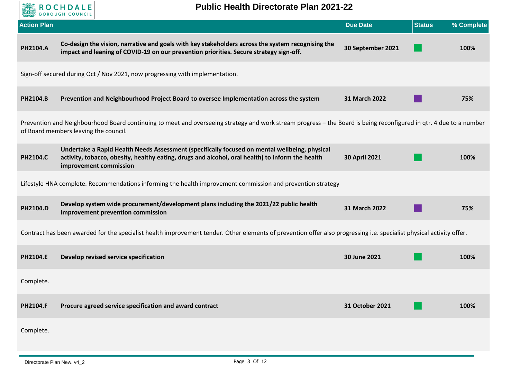

| <b>Action Plan</b> |                                                                                                                                                                                                                             | <b>Due Date</b>   | <b>Status</b> | % Complete |
|--------------------|-----------------------------------------------------------------------------------------------------------------------------------------------------------------------------------------------------------------------------|-------------------|---------------|------------|
| PH2104.A           | Co-design the vision, narrative and goals with key stakeholders across the system recognising the<br>impact and leaning of COVID-19 on our prevention priorities. Secure strategy sign-off.                                 | 30 September 2021 |               | 100%       |
|                    | Sign-off secured during Oct / Nov 2021, now progressing with implementation.                                                                                                                                                |                   |               |            |
| PH2104.B           | Prevention and Neighbourhood Project Board to oversee Implementation across the system                                                                                                                                      | 31 March 2022     |               | 75%        |
|                    | Prevention and Neighbourhood Board continuing to meet and overseeing strategy and work stream progress - the Board is being reconfigured in qtr. 4 due to a number<br>of Board members leaving the council.                 |                   |               |            |
| PH2104.C           | Undertake a Rapid Health Needs Assessment (specifically focused on mental wellbeing, physical<br>activity, tobacco, obesity, healthy eating, drugs and alcohol, oral health) to inform the health<br>improvement commission | 30 April 2021     |               | 100%       |
|                    | Lifestyle HNA complete. Recommendations informing the health improvement commission and prevention strategy                                                                                                                 |                   |               |            |
| PH2104.D           | Develop system wide procurement/development plans including the 2021/22 public health<br>improvement prevention commission                                                                                                  | 31 March 2022     |               | 75%        |
|                    | Contract has been awarded for the specialist health improvement tender. Other elements of prevention offer also progressing i.e. specialist physical activity offer.                                                        |                   |               |            |
| PH2104.E           | Develop revised service specification                                                                                                                                                                                       | 30 June 2021      |               | 100%       |
| Complete.          |                                                                                                                                                                                                                             |                   |               |            |
| PH2104.F           | Procure agreed service specification and award contract                                                                                                                                                                     | 31 October 2021   |               | 100%       |
| Complete.          |                                                                                                                                                                                                                             |                   |               |            |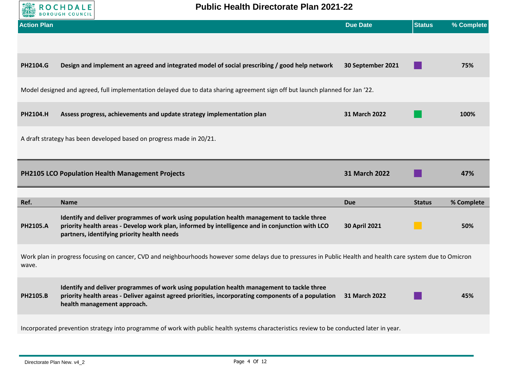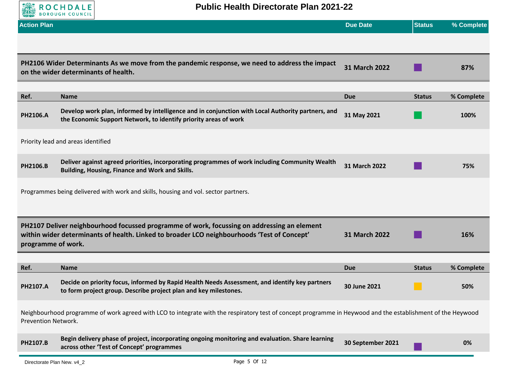

## **Public Health Directorate Plan 2021-22**

| <b>Action Plan</b>  |                                                                                                                                                                                            | <b>Due Date</b>   | <b>Status</b> | % Complete |
|---------------------|--------------------------------------------------------------------------------------------------------------------------------------------------------------------------------------------|-------------------|---------------|------------|
|                     |                                                                                                                                                                                            |                   |               |            |
|                     | PH2106 Wider Determinants As we move from the pandemic response, we need to address the impact<br>on the wider determinants of health.                                                     | 31 March 2022     |               | 87%        |
|                     |                                                                                                                                                                                            |                   |               |            |
| Ref.                | <b>Name</b>                                                                                                                                                                                | <b>Due</b>        | <b>Status</b> | % Complete |
| PH2106.A            | Develop work plan, informed by intelligence and in conjunction with Local Authority partners, and<br>the Economic Support Network, to identify priority areas of work                      | 31 May 2021       |               | 100%       |
|                     | Priority lead and areas identified                                                                                                                                                         |                   |               |            |
| PH2106.B            | Deliver against agreed priorities, incorporating programmes of work including Community Wealth<br>Building, Housing, Finance and Work and Skills.                                          | 31 March 2022     |               | 75%        |
|                     | Programmes being delivered with work and skills, housing and vol. sector partners.                                                                                                         |                   |               |            |
| programme of work.  | PH2107 Deliver neighbourhood focussed programme of work, focussing on addressing an element<br>within wider determinants of health. Linked to broader LCO neighbourhoods 'Test of Concept' | 31 March 2022     |               | 16%        |
|                     |                                                                                                                                                                                            |                   |               |            |
| Ref.                | <b>Name</b>                                                                                                                                                                                | <b>Due</b>        | <b>Status</b> | % Complete |
| <b>PH2107.A</b>     | Decide on priority focus, informed by Rapid Health Needs Assessment, and identify key partners<br>to form project group. Describe project plan and key milestones.                         | 30 June 2021      |               | 50%        |
| Prevention Network. | Neighbourhood programme of work agreed with LCO to integrate with the respiratory test of concept programme in Heywood and the establishment of the Heywood                                |                   |               |            |
| PH2107.B            | Begin delivery phase of project, incorporating ongoing monitoring and evaluation. Share learning<br>across other 'Test of Concept' programmes                                              | 30 September 2021 |               | 0%         |

Directorate Plan New. v4\_2 example of the property of the Page 5 Of 12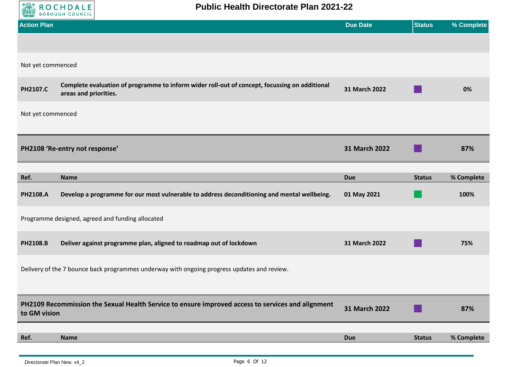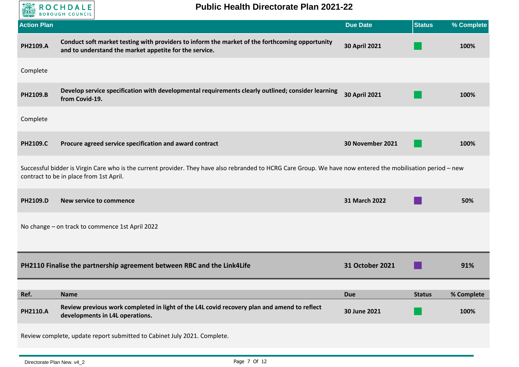

| <b>Action Plan</b> |                                                                                                                                                                                                         | <b>Due Date</b>  | <b>Status</b> | % Complete |
|--------------------|---------------------------------------------------------------------------------------------------------------------------------------------------------------------------------------------------------|------------------|---------------|------------|
| PH2109.A           | Conduct soft market testing with providers to inform the market of the forthcoming opportunity<br>and to understand the market appetite for the service.                                                | 30 April 2021    |               | 100%       |
| Complete           |                                                                                                                                                                                                         |                  |               |            |
| PH2109.B           | Develop service specification with developmental requirements clearly outlined; consider learning<br>from Covid-19.                                                                                     | 30 April 2021    |               | 100%       |
| Complete           |                                                                                                                                                                                                         |                  |               |            |
| <b>PH2109.C</b>    | Procure agreed service specification and award contract                                                                                                                                                 | 30 November 2021 |               | 100%       |
|                    | Successful bidder is Virgin Care who is the current provider. They have also rebranded to HCRG Care Group. We have now entered the mobilisation period - new<br>contract to be in place from 1st April. |                  |               |            |
| PH2109.D           | <b>New service to commence</b>                                                                                                                                                                          | 31 March 2022    |               | 50%        |
|                    | No change - on track to commence 1st April 2022                                                                                                                                                         |                  |               |            |
|                    | PH2110 Finalise the partnership agreement between RBC and the Link4Life                                                                                                                                 | 31 October 2021  |               | 91%        |
| Ref.               | <b>Name</b>                                                                                                                                                                                             | <b>Due</b>       | <b>Status</b> | % Complete |
| PH2110.A           | Review previous work completed in light of the L4L covid recovery plan and amend to reflect<br>developments in L4L operations.                                                                          | 30 June 2021     |               | 100%       |
|                    | Review complete, update report submitted to Cabinet July 2021. Complete.                                                                                                                                |                  |               |            |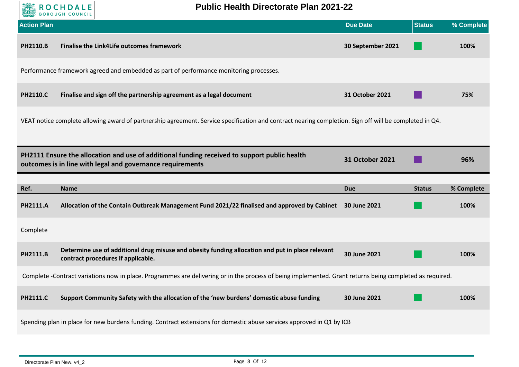

| <b>Action Plan</b> |                                                                                                                                                            | <b>Due Date</b>   | <b>Status</b> | % Complete |
|--------------------|------------------------------------------------------------------------------------------------------------------------------------------------------------|-------------------|---------------|------------|
| <b>PH2110.B</b>    | Finalise the Link4Life outcomes framework                                                                                                                  | 30 September 2021 |               | 100%       |
|                    | Performance framework agreed and embedded as part of performance monitoring processes.                                                                     |                   |               |            |
| <b>PH2110.C</b>    | Finalise and sign off the partnership agreement as a legal document                                                                                        | 31 October 2021   |               | 75%        |
|                    | VEAT notice complete allowing award of partnership agreement. Service specification and contract nearing completion. Sign off will be completed in Q4.     |                   |               |            |
|                    |                                                                                                                                                            |                   |               |            |
|                    | PH2111 Ensure the allocation and use of additional funding received to support public health<br>outcomes is in line with legal and governance requirements | 31 October 2021   |               | 96%        |
|                    |                                                                                                                                                            |                   |               |            |
| Ref.               | <b>Name</b>                                                                                                                                                | <b>Due</b>        | <b>Status</b> | % Complete |
| <b>PH2111.A</b>    | Allocation of the Contain Outbreak Management Fund 2021/22 finalised and approved by Cabinet                                                               | 30 June 2021      |               | 100%       |
| Complete           |                                                                                                                                                            |                   |               |            |
| PH2111.B           | Determine use of additional drug misuse and obesity funding allocation and put in place relevant<br>contract procedures if applicable.                     | 30 June 2021      |               | 100%       |
|                    | Complete -Contract variations now in place. Programmes are delivering or in the process of being implemented. Grant returns being completed as required.   |                   |               |            |
| <b>PH2111.C</b>    | Support Community Safety with the allocation of the 'new burdens' domestic abuse funding                                                                   | 30 June 2021      |               | 100%       |
|                    | Spending plan in place for new burdens funding. Contract extensions for domestic abuse services approved in Q1 by ICB                                      |                   |               |            |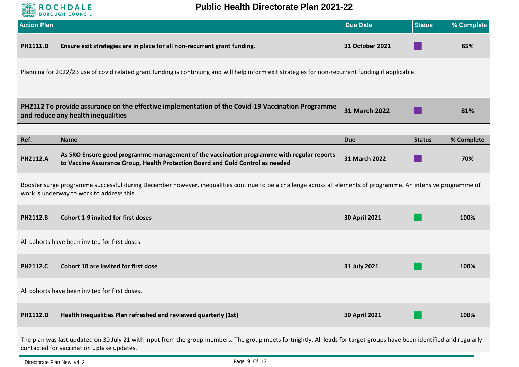

## **Public Health Directorate Plan 2021-22**

| <b>Action Plan</b> |                                                                                                                                                                                                              | <b>Due Date</b>      | <b>Status</b> | % Complete |
|--------------------|--------------------------------------------------------------------------------------------------------------------------------------------------------------------------------------------------------------|----------------------|---------------|------------|
| PH2111.D           | Ensure exit strategies are in place for all non-recurrent grant funding.                                                                                                                                     | 31 October 2021      |               | 85%        |
|                    | Planning for 2022/23 use of covid related grant funding is continuing and will help inform exit strategies for non-recurrent funding if applicable.                                                          |                      |               |            |
|                    | PH2112 To provide assurance on the effective implementation of the Covid-19 Vaccination Programme<br>and reduce any health inequalities                                                                      | <b>31 March 2022</b> |               | 81%        |
| Ref.               | <b>Name</b>                                                                                                                                                                                                  | <b>Due</b>           | <b>Status</b> | % Complete |
| <b>PH2112.A</b>    | As SRO Ensure good programme management of the vaccination programme with regular reports<br>to Vaccine Assurance Group, Health Protection Board and Gold Control as needed                                  | 31 March 2022        |               | 70%        |
|                    | Booster surge programme successful during December however, inequalities continue to be a challenge across all elements of programme. An intensive programme of<br>work is underway to work to address this. |                      |               |            |
| <b>PH2112.B</b>    | <b>Cohort 1-9 invited for first doses</b>                                                                                                                                                                    | 30 April 2021        |               | 100%       |
|                    | All cohorts have been invited for first doses                                                                                                                                                                |                      |               |            |
| <b>PH2112.C</b>    | Cohort 10 are invited for first dose                                                                                                                                                                         | 31 July 2021         |               | 100%       |
|                    | All cohorts have been invited for first doses.                                                                                                                                                               |                      |               |            |
| <b>PH2112.D</b>    | Health Inequalities Plan refreshed and reviewed quarterly (1st)                                                                                                                                              | <b>30 April 2021</b> |               | 100%       |

The plan was last updated on 30 July 21 with input from the group members. The group meets fortnightly. All leads for target groups have been identified and regularly contacted for vaccination uptake updates.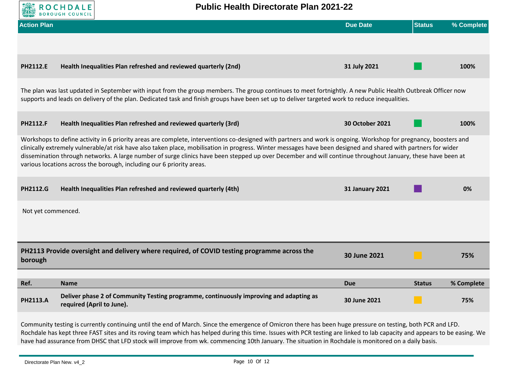

Rochdale has kept three FAST sites and its roving team which has helped during this time. Issues with PCR testing are linked to lab capacity and appears to be easing. We have had assurance from DHSC that LFD stock will improve from wk. commencing 10th January. The situation in Rochdale is monitored on a daily basis.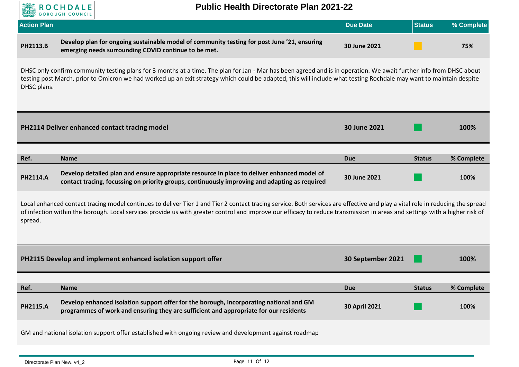

## **Public Health Directorate Plan 2021-22**

| <b>Action Plan</b> |                                                                                                                                                     | Due Date     | <b>Status</b> | % Complete |
|--------------------|-----------------------------------------------------------------------------------------------------------------------------------------------------|--------------|---------------|------------|
| <b>PH2113.B</b>    | Develop plan for ongoing sustainable model of community testing for post June '21, ensuring<br>emerging needs surrounding COVID continue to be met. | 30 June 2021 |               | 75%        |

DHSC only confirm community testing plans for 3 months at a time. The plan for Jan - Mar has been agreed and is in operation. We await further info from DHSC about testing post March, prior to Omicron we had worked up an exit strategy which could be adapted, this will include what testing Rochdale may want to maintain despite DHSC plans.

|                 | PH2114 Deliver enhanced contact tracing model                                                                                                                                                 | 30 June 2021 |               | 100%       |
|-----------------|-----------------------------------------------------------------------------------------------------------------------------------------------------------------------------------------------|--------------|---------------|------------|
| Ref.            | <b>Name</b>                                                                                                                                                                                   | Due          | <b>Status</b> | % Complete |
| <b>PH2114.A</b> | Develop detailed plan and ensure appropriate resource in place to deliver enhanced model of<br>contact tracing, focussing on priority groups, continuously improving and adapting as required | 30 June 2021 |               | 100%       |

Local enhanced contact tracing model continues to deliver Tier 1 and Tier 2 contact tracing service. Both services are effective and play a vital role in reducing the spread of infection within the borough. Local services provide us with greater control and improve our efficacy to reduce transmission in areas and settings with a higher risk of spread.

|                 | PH2115 Develop and implement enhanced isolation support offer                                                                                                                    | 30 September 2021    |               | <b>100%</b> |
|-----------------|----------------------------------------------------------------------------------------------------------------------------------------------------------------------------------|----------------------|---------------|-------------|
|                 |                                                                                                                                                                                  |                      |               |             |
| Ref.            | <b>Name</b>                                                                                                                                                                      | <b>Due</b>           | <b>Status</b> | % Complete  |
| <b>PH2115.A</b> | Develop enhanced isolation support offer for the borough, incorporating national and GM<br>programmes of work and ensuring they are sufficient and appropriate for our residents | <b>30 April 2021</b> |               | 100%        |
|                 | GM and national isolation support offer established with ongoing review and development against roadmap                                                                          |                      |               |             |